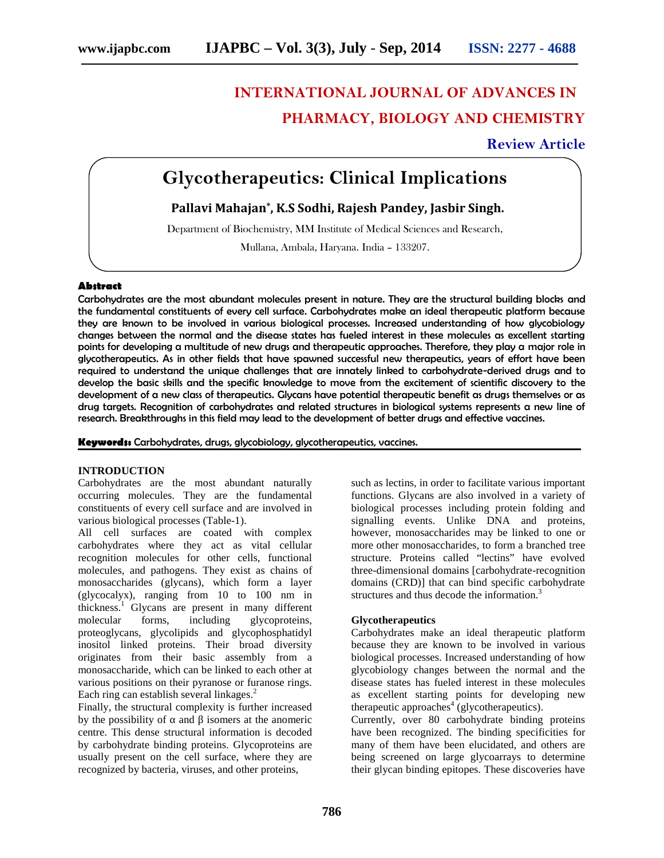# **INTERNATIONAL JOURNAL OF ADVANCES IN PHARMACY, BIOLOGY AND CHEMISTRY**

## **Review Article**

## **Glycotherapeutics: Clinical Implications**

### **Pallavi Mahajan\* , K.S Sodhi, Rajesh Pandey, Jasbir Singh.**

Department of Biochemistry, MM Institute of Medical Sciences and Research,

Mullana, Ambala, Haryana. India – 133207.

#### **Abstract**

Carbohydrates are the most abundant molecules present in nature. They are the structural building blocks and the fundamental constituents of every cell surface. Carbohydrates make an ideal therapeutic platform because they are known to be involved in various biological processes. Increased understanding of how glycobiology changes between the normal and the disease states has fueled interest in these molecules as excellent starting points for developing a multitude of new drugs and therapeutic approaches. Therefore, they play a major role in glycotherapeutics. As in other fields that have spawned successful new therapeutics, years of effort have been required to understand the unique challenges that are innately linked to carbohydrate-derived drugs and to develop the basic skills and the specific knowledge to move from the excitement of scientific discovery to the development of a new class of therapeutics. Glycans have potential therapeutic benefit as drugs themselves or as drug targets. Recognition of carbohydrates and related structures in biological systems represents a new line of research. Breakthroughs in this field may lead to the development of better drugs and effective vaccines.

**Keywords:** Carbohydrates, drugs, glycobiology, glycotherapeutics, vaccines.

#### **INTRODUCTION**

Carbohydrates are the most abundant naturally occurring molecules. They are the fundamental constituents of every cell surface and are involved in various biological processes (Table-1).

All cell surfaces are coated with complex carbohydrates where they act as vital cellular recognition molecules for other cells, functional molecules, and pathogens. They exist as chains of monosaccharides (glycans), which form a layer (glycocalyx), ranging from 10 to 100 nm in thickness.<sup>1</sup> Glycans are present in many different molecular forms, including glycoproteins, proteoglycans, glycolipids and glycophosphatidyl inositol linked proteins. Their broad diversity originates from their basic assembly from a monosaccharide, which can be linked to each other at various positions on their pyranose or furanose rings. Each ring can establish several linkages.<sup>2</sup>

Finally, the structural complexity is further increased by the possibility of and isomers at the anomeric centre. This dense structural information is decoded by carbohydrate binding proteins. Glycoproteins are usually present on the cell surface, where they are recognized by bacteria, viruses, and other proteins,

such as lectins, in order to facilitate various important functions. Glycans are also involved in a variety of biological processes including protein folding and signalling events. Unlike DNA and proteins, however, monosaccharides may be linked to one or more other monosaccharides, to form a branched tree structure. Proteins called "lectins" have evolved three-dimensional domains [carbohydrate-recognition domains (CRD)] that can bind specific carbohydrate structures and thus decode the information.<sup>3</sup>

#### **Glycotherapeutics**

Carbohydrates make an ideal therapeutic platform because they are known to be involved in various biological processes. Increased understanding of how glycobiology changes between the normal and the disease states has fueled interest in these molecules as excellent starting points for developing new therapeutic approaches<sup>4</sup> (glycotherapeutics).

Currently, over 80 carbohydrate binding proteins have been recognized. The binding specificities for many of them have been elucidated, and others are being screened on large glycoarrays to determine their glycan binding epitopes. These discoveries have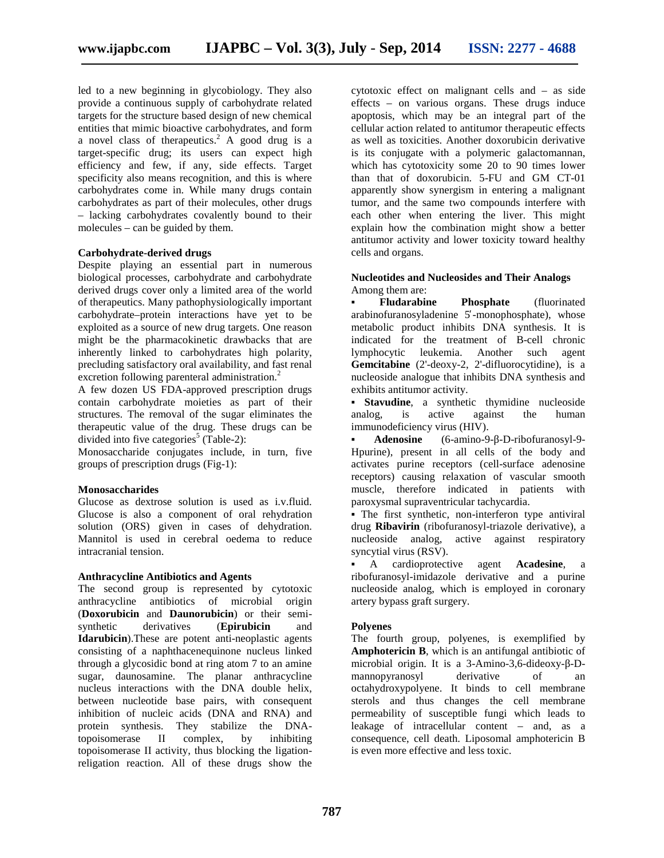led to a new beginning in glycobiology. They also provide a continuous supply of carbohydrate related targets for the structure based design of new chemical entities that mimic bioactive carbohydrates, and form a novel class of therapeutics.<sup>2</sup> A good drug is a target-specific drug; its users can expect high efficiency and few, if any, side effects. Target specificity also means recognition, and this is where carbohydrates come in. While many drugs contain carbohydrates as part of their molecules, other drugs – lacking carbohydrates covalently bound to their molecules – can be guided by them.

#### **Carbohydrate-derived drugs**

Despite playing an essential part in numerous biological processes, carbohydrate and carbohydrate derived drugs cover only a limited area of the world of therapeutics. Many pathophysiologically important carbohydrate–protein interactions have yet to be exploited as a source of new drug targets. One reason might be the pharmacokinetic drawbacks that are inherently linked to carbohydrates high polarity, precluding satisfactory oral availability, and fast renal excretion following parenteral administration.<sup>2</sup>

A few dozen US FDA-approved prescription drugs contain carbohydrate moieties as part of their structures. The removal of the sugar eliminates the therapeutic value of the drug. These drugs can be divided into five categories<sup>5</sup> (Table-2):

Monosaccharide conjugates include, in turn, five groups of prescription drugs (Fig-1):

#### **Monosaccharides**

Glucose as dextrose solution is used as i.v.fluid. Glucose is also a component of oral rehydration solution (ORS) given in cases of dehydration. Mannitol is used in cerebral oedema to reduce intracranial tension.

#### **Anthracycline Antibiotics and Agents**

The second group is represented by cytotoxic anthracycline antibiotics of microbial origin antibiotics of microbial origin (**Doxorubicin** and **Daunorubicin**) or their semi synthetic derivatives (**Epirubicin** and **Idarubicin**).These are potent anti-neoplastic agents consisting of a naphthacenequinone nucleus linked through a glycosidic bond at ring atom 7 to an amine sugar, daunosamine. The planar anthracycline nucleus interactions with the DNA double helix, between nucleotide base pairs, with consequent inhibition of nucleic acids (DNA and RNA) and protein synthesis. They stabilize the DNAtopoisomerase II complex, by inhibiting topoisomerase II activity, thus blocking the ligationreligation reaction. All of these drugs show the

cytotoxic effect on malignant cells and – as side effects – on various organs. These drugs induce apoptosis, which may be an integral part of the cellular action related to antitumor therapeutic effects as well as toxicities. Another doxorubicin derivative is its conjugate with a polymeric galactomannan, which has cytotoxicity some 20 to 90 times lower than that of doxorubicin. 5-FU and GM CT-01 apparently show synergism in entering a malignant tumor, and the same two compounds interfere with each other when entering the liver. This might explain how the combination might show a better antitumor activity and lower toxicity toward healthy cells and organs.

#### **Nucleotides and Nucleosides and Their Analogs** Among them are:

**Fludarabine Phosphate** (fluorinated arabinofuranosyladenine 5 -monophosphate), whose metabolic product inhibits DNA synthesis. It is indicated for the treatment of B-cell chronic lymphocytic leukemia. Another such agent **Gemcitabine** (2'-deoxy-2, 2'-difluorocytidine), is a nucleoside analogue that inhibits DNA synthesis and exhibits antitumor activity.

**Stavudine**, a synthetic thymidine nucleoside analog, is active against the human immunodeficiency virus (HIV).

**Adenosine** (6-amino-9- -D-ribofuranosyl-9- Hpurine), present in all cells of the body and activates purine receptors (cell-surface adenosine receptors) causing relaxation of vascular smooth muscle, therefore indicated in patients with paroxysmal supraventricular tachycardia.

The first synthetic, non-interferon type antiviral drug **Ribavirin** (ribofuranosyl-triazole derivative), a nucleoside analog, active against respiratory syncytial virus (RSV).

A cardioprotective agent **Acadesine**, a ribofuranosyl-imidazole derivative and a purine nucleoside analog, which is employed in coronary artery bypass graft surgery.

#### **Polyenes**

The fourth group, polyenes, is exemplified by **Amphotericin B**, which is an antifungal antibiotic of microbial origin. It is a 3-Amino-3,6-dideoxy- -D-<br>mannopyranosyl derivative of an mannopyranosyl derivative of an octahydroxypolyene. It binds to cell membrane sterols and thus changes the cell membrane permeability of susceptible fungi which leads to leakage of intracellular content – and, as a consequence, cell death. Liposomal amphotericin B is even more effective and less toxic.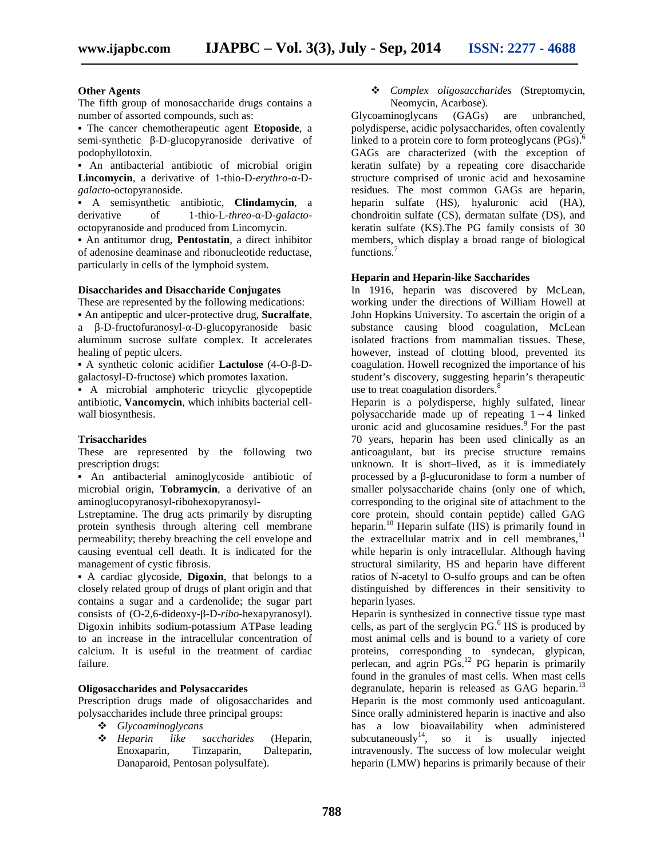#### **Other Agents**

The fifth group of monosaccharide drugs contains a number of assorted compounds, such as:

The cancer chemotherapeutic agent **Etoposide**, a semi-synthetic -D-glucopyranoside derivative of podophyllotoxin.

An antibacterial antibiotic of microbial origin **Lincomycin**, a derivative of 1-thio-D-*erythro*- -D *galacto*-octopyranoside.

A semisynthetic antibiotic, **Clindamycin**, a derivative of 1-thio-L-*threo*- -D-*galacto* octopyranoside and produced from Lincomycin.

An antitumor drug, **Pentostatin**, a direct inhibitor of adenosine deaminase and ribonucleotide reductase, particularly in cells of the lymphoid system.

#### **Disaccharides and Disaccharide Conjugates**

These are represented by the following medications:

An antipeptic and ulcer-protective drug, **Sucralfate**, a -D-fructofuranosyl- -D-glucopyranoside basic aluminum sucrose sulfate complex. It accelerates healing of peptic ulcers.

A synthetic colonic acidifier **Lactulose** (4-O- -D galactosyl-D-fructose) which promotes laxation.

A microbial amphoteric tricyclic glycopeptide antibiotic, **Vancomycin**, which inhibits bacterial cell wall biosynthesis.

#### **Trisaccharides**

These are represented by the following two prescription drugs:

An antibacterial aminoglycoside antibiotic of microbial origin, **Tobramycin**, a derivative of an aminoglucopyranosyl-ribohexopyranosyl-

Lstreptamine. The drug acts primarily by disrupting protein synthesis through altering cell membrane permeability; thereby breaching the cell envelope and causing eventual cell death. It is indicated for the management of cystic fibrosis.

A cardiac glycoside, **Digoxin**, that belongs to a closely related group of drugs of plant origin and that contains a sugar and a cardenolide; the sugar part consists of (O-2,6-dideoxy- -D-*ribo*-hexapyranosyl). Digoxin inhibits sodium-potassium ATPase leading to an increase in the intracellular concentration of calcium. It is useful in the treatment of cardiac failure.

#### **Oligosaccharides and Polysaccarides**

Prescription drugs made of oligosaccharides and polysaccharides include three principal groups:

- *Glycoaminoglycans*
- *Heparin like saccharides* (Heparin, Tinzaparin, Danaparoid, Pentosan polysulfate).

 *Complex oligosaccharides* (Streptomycin, Neomycin, Acarbose).

Glycoaminoglycans (GAGs) are unbranched, polydisperse, acidic polysaccharides, often covalently linked to a protein core to form proteoglycans  $(PGs)$ .<sup>6</sup> GAGs are characterized (with the exception of keratin sulfate) by a repeating core disaccharide structure comprised of uronic acid and hexosamine residues. The most common GAGs are heparin, heparin sulfate (HS), hyaluronic acid (HA), chondroitin sulfate (CS), dermatan sulfate (DS), and keratin sulfate (KS).The PG family consists of 30 members, which display a broad range of biological functions.<sup>7</sup>

#### **Heparin and Heparin-like Saccharides**

In 1916, heparin was discovered by McLean, working under the directions of William Howell at John Hopkins University. To ascertain the origin of a substance causing blood coagulation, McLean isolated fractions from mammalian tissues. These, however, instead of clotting blood, prevented its coagulation. Howell recognized the importance of his student's discovery, suggesting heparin's therapeutic use to treat coagulation disorders.<sup>8</sup>

Heparin is a polydisperse, highly sulfated, linear polysaccharide made up of repeating 1→4 linked uronic acid and glucosamine residues. $9$  For the past 70 years, heparin has been used clinically as an anticoagulant, but its precise structure remains unknown. It is short–lived, as it is immediately processed by a -glucuronidase to form a number of smaller polysaccharide chains (only one of which, corresponding to the original site of attachment to the core protein, should contain peptide) called GAG heparin.<sup>10</sup> Heparin sulfate  $(HS)$  is primarily found in the extracellular matrix and in cell membranes, $11$ while heparin is only intracellular. Although having structural similarity, HS and heparin have different ratios of N-acetyl to O-sulfo groups and can be often distinguished by differences in their sensitivity to heparin lyases.

Heparin is synthesized in connective tissue type mast cells, as part of the serglycin  $PG<sup>6</sup> HS$  is produced by most animal cells and is bound to a variety of core proteins, corresponding to syndecan, glypican, perlecan, and agrin PGs.<sup>12</sup> PG heparin is primarily found in the granules of mast cells. When mast cells degranulate, heparin is released as GAG heparin. $^{13}$ Heparin is the most commonly used anticoagulant. Since orally administered heparin is inactive and also has a low bioavailability when administered subcutaneously<sup>14</sup>, so it is usually injected intravenously. The success of low molecular weight heparin (LMW) heparins is primarily because of their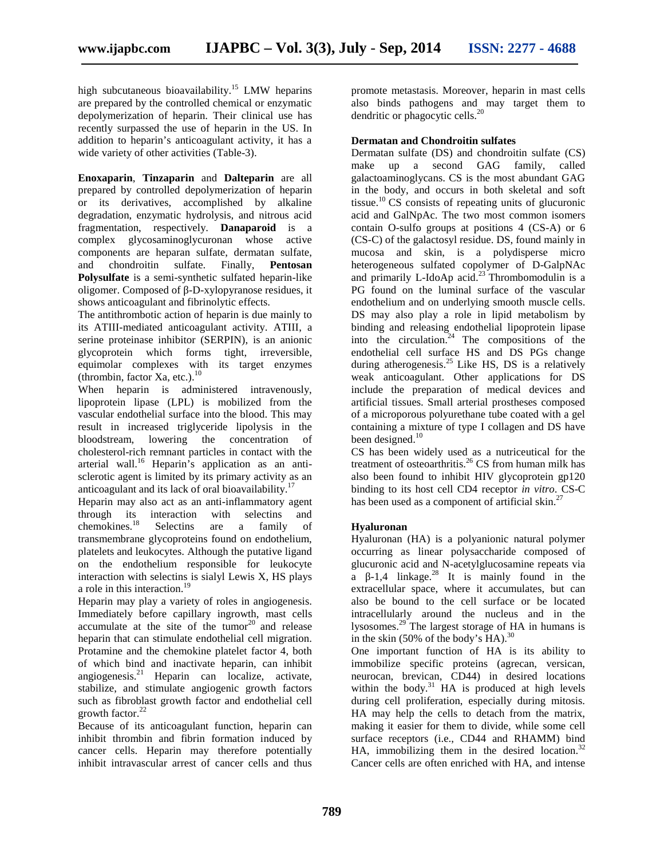high subcutaneous bioavailability.<sup>15</sup> LMW heparins are prepared by the controlled chemical or enzymatic depolymerization of heparin. Their clinical use has recently surpassed the use of heparin in the US. In addition to heparin's anticoagulant activity, it has a wide variety of other activities (Table-3).

**Enoxaparin**, **Tinzaparin** and **Dalteparin** are all prepared by controlled depolymerization of heparin or its derivatives, accomplished by alkaline degradation, enzymatic hydrolysis, and nitrous acid fragmentation, respectively. **Danaparoid** is a complex glycosaminoglycuronan whose active components are heparan sulfate, dermatan sulfate, and chondroitin sulfate. Finally, **Pentosan Polysulfate** is a semi-synthetic sulfated heparin-like oligomer. Composed of -D-xylopyranose residues, it shows anticoagulant and fibrinolytic effects.

The antithrombotic action of heparin is due mainly to its ATIII-mediated anticoagulant activity. ATIII, a serine proteinase inhibitor (SERPIN), is an anionic glycoprotein which forms tight, irreversible, equimolar complexes with its target enzymes (thrombin, factor Xa, etc.). $^{10}$ 

When heparin is administered intravenously, lipoprotein lipase (LPL) is mobilized from the vascular endothelial surface into the blood. This may result in increased triglyceride lipolysis in the bloodstream, lowering the concentration of cholesterol-rich remnant particles in contact with the arterial wall.<sup>16</sup> Heparin's application as an antisclerotic agent is limited by its primary activity as an anticoagulant and its lack of oral bioavailability.<sup>1</sup>

Heparin may also act as an anti-inflammatory agent through its interaction with selectins and chemokines.<sup>18</sup> Selectins are a family of transmembrane glycoproteins found on endothelium, platelets and leukocytes. Although the putative ligand on the endothelium responsible for leukocyte interaction with selectins is sialyl Lewis X, HS plays a role in this interaction.<sup>19</sup>

Heparin may play a variety of roles in angiogenesis. Immediately before capillary ingrowth, mast cells accumulate at the site of the tumor $^{20}$  and release heparin that can stimulate endothelial cell migration. Protamine and the chemokine platelet factor 4, both of which bind and inactivate heparin, can inhibit angiogenesis.<sup>21</sup> Heparin can localize, activate, stabilize, and stimulate angiogenic growth factors such as fibroblast growth factor and endothelial cell growth factor. $^{22}$ 

Because of its anticoagulant function, heparin can inhibit thrombin and fibrin formation induced by cancer cells. Heparin may therefore potentially inhibit intravascular arrest of cancer cells and thus promote metastasis. Moreover, heparin in mast cells also binds pathogens and may target them to dendritic or phagocytic cells.<sup>20</sup>

#### **Dermatan and Chondroitin sulfates**

Dermatan sulfate (DS) and chondroitin sulfate (CS) make up a second GAG family, called galactoaminoglycans. CS is the most abundant GAG in the body, and occurs in both skeletal and soft tissue.<sup>10</sup> CS consists of repeating units of glucuronic acid and GalNpAc. The two most common isomers contain O-sulfo groups at positions 4 (CS-A) or 6 (CS-C) of the galactosyl residue. DS, found mainly in mucosa and skin, is a polydisperse micro heterogeneous sulfated copolymer of D-GalpNAc and primarily L-IdoAp acid. $^{23}$  Thrombomodulin is a PG found on the luminal surface of the vascular endothelium and on underlying smooth muscle cells. DS may also play a role in lipid metabolism by binding and releasing endothelial lipoprotein lipase into the circulation.<sup>24</sup> The compositions of the endothelial cell surface HS and DS PGs change during atherogenesis.<sup>25</sup> Like HS, DS is a relatively weak anticoagulant. Other applications for DS include the preparation of medical devices and artificial tissues. Small arterial prostheses composed of a microporous polyurethane tube coated with a gel containing a mixture of type I collagen and DS have been designed. $10$ 

CS has been widely used as a nutriceutical for the treatment of osteoarthritis.<sup>26</sup> CS from human milk has also been found to inhibit HIV glycoprotein gp120 binding to its host cell CD4 receptor *in vitro*. CS-C has been used as a component of artificial skin. $27$ 

#### **Hyaluronan**

Hyaluronan (HA) is a polyanionic natural polymer occurring as linear polysaccharide composed of glucuronic acid and N-acetylglucosamine repeats via a  $-1,4$  linkage.<sup>28</sup> It is mainly found in the extracellular space, where it accumulates, but can also be bound to the cell surface or be located intracellularly around the nucleus and in the lysosomes.<sup>29</sup> The largest storage of HA in humans is in the skin  $(50\% \text{ of the body's HA})$ .<sup>30</sup>

One important function of HA is its ability to immobilize specific proteins (agrecan, versican, neurocan, brevican, CD44) in desired locations within the body. $31$  HA is produced at high levels during cell proliferation, especially during mitosis. HA may help the cells to detach from the matrix, making it easier for them to divide, while some cell surface receptors (i.e., CD44 and RHAMM) bind HA, immobilizing them in the desired location. $32$ Cancer cells are often enriched with HA, and intense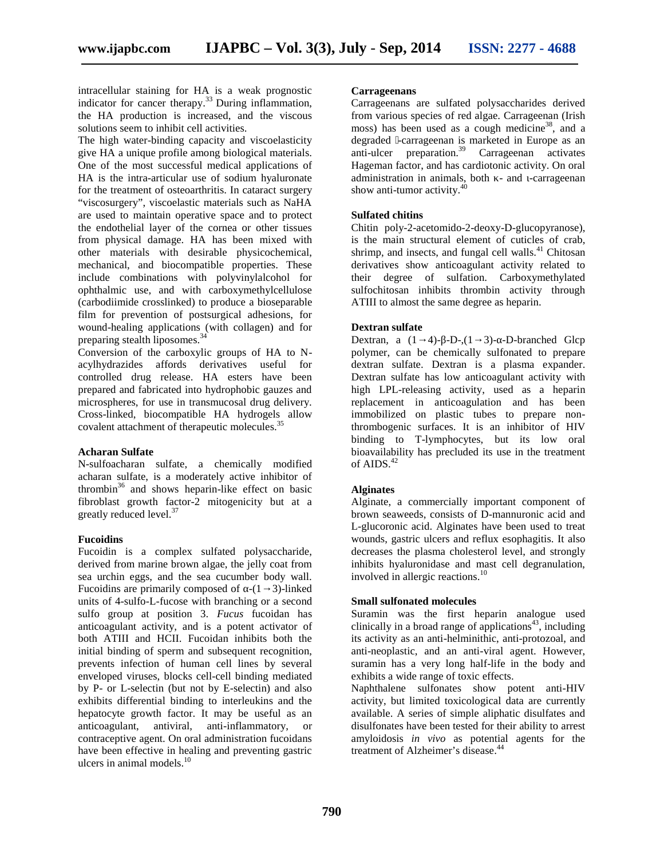intracellular staining for HA is a weak prognostic indicator for cancer therapy.<sup>33</sup> During inflammation, the HA production is increased, and the viscous solutions seem to inhibit cell activities.

The high water-binding capacity and viscoelasticity give HA a unique profile among biological materials. One of the most successful medical applications of HA is the intra-articular use of sodium hyaluronate for the treatment of osteoarthritis. In cataract surgery "viscosurgery", viscoelastic materials such as NaHA are used to maintain operative space and to protect the endothelial layer of the cornea or other tissues from physical damage. HA has been mixed with other materials with desirable physicochemical, mechanical, and biocompatible properties. These include combinations with polyvinylalcohol for ophthalmic use, and with carboxymethylcellulose (carbodiimide crosslinked) to produce a bioseparable film for prevention of postsurgical adhesions, for wound-healing applications (with collagen) and for preparing stealth liposomes.<sup>34</sup>

Conversion of the carboxylic groups of HA to N acylhydrazides affords derivatives useful for controlled drug release. HA esters have been prepared and fabricated into hydrophobic gauzes and microspheres, for use in transmucosal drug delivery. Cross-linked, biocompatible HA hydrogels allow covalent attachment of therapeutic molecules.<sup>35</sup>

#### **Acharan Sulfate**

N-sulfoacharan sulfate, a chemically modified acharan sulfate, is a moderately active inhibitor of thrombin <sup>36</sup> and shows heparin-like effect on basic fibroblast growth factor-2 mitogenicity but at a greatly reduced level.<sup>37</sup>

#### **Fucoidins**

Fucoidin is a complex sulfated polysaccharide, derived from marine brown algae, the jelly coat from sea urchin eggs, and the sea cucumber body wall. Fucoidins are primarily composed of  $-(1-3)$ -linked units of 4-sulfo-L-fucose with branching or a second sulfo group at position 3. *Fucus* fucoidan has anticoagulant activity, and is a potent activator of both ATIII and HCII. Fucoidan inhibits both the initial binding of sperm and subsequent recognition, prevents infection of human cell lines by several enveloped viruses, blocks cell-cell binding mediated by P- or L-selectin (but not by E-selectin) and also exhibits differential binding to interleukins and the hepatocyte growth factor. It may be useful as an anticoagulant, antiviral, anti-inflammatory, or contraceptive agent. On oral administration fucoidans have been effective in healing and preventing gastric ulcers in animal models. $10$ 

#### **Carrageenans**

Carrageenans are sulfated polysaccharides derived from various species of red algae. Carrageenan (Irish moss) has been used as a cough medicine<sup>38</sup>, and a degraded -carrageenan is marketed in Europe as an anti-ulcer preparation.<sup>39</sup> Carrageenan activates Hageman factor, and has cardiotonic activity. On oral administration in animals, both - and -carrageenan show anti-tumor activity.<sup>4</sup>

#### **Sulfated chitins**

Chitin poly-2-acetomido-2-deoxy-D-glucopyranose), is the main structural element of cuticles of crab, shrimp, and insects, and fungal cell walls. $41$  Chitosan derivatives show anticoagulant activity related to their degree of sulfation. Carboxymethylated sulfochitosan inhibits thrombin activity through ATIII to almost the same degree as heparin.

#### **Dextran sulfate**

Dextran, a  $(1\quad 4)$ - -D-, $(1\quad 3)$ - -D-branched Glcp polymer, can be chemically sulfonated to prepare dextran sulfate. Dextran is a plasma expander. Dextran sulfate has low anticoagulant activity with high LPL-releasing activity, used as a heparin replacement in anticoagulation and has been immobilized on plastic tubes to prepare nonthrombogenic surfaces. It is an inhibitor of HIV binding to T-lymphocytes, but its low oral bioavailability has precluded its use in the treatment of AIDS. $42$ 

#### **Alginates**

Alginate, a commercially important component of brown seaweeds, consists of D-mannuronic acid and L-glucoronic acid. Alginates have been used to treat wounds, gastric ulcers and reflux esophagitis. It also decreases the plasma cholesterol level, and strongly inhibits hyaluronidase and mast cell degranulation, involved in allergic reactions.<sup>10</sup>

#### **Small sulfonated molecules**

Suramin was the first heparin analogue used clinically in a broad range of applications<sup>43</sup>, including its activity as an anti-helminithic, anti-protozoal, and anti-neoplastic, and an anti-viral agent. However, suramin has a very long half-life in the body and exhibits a wide range of toxic effects.

Naphthalene sulfonates show potent anti-HIV activity, but limited toxicological data are currently available. A series of simple aliphatic disulfates and disulfonates have been tested for their ability to arrest amyloidosis *in vivo* as potential agents for the treatment of Alzheimer's disease.<sup>44</sup>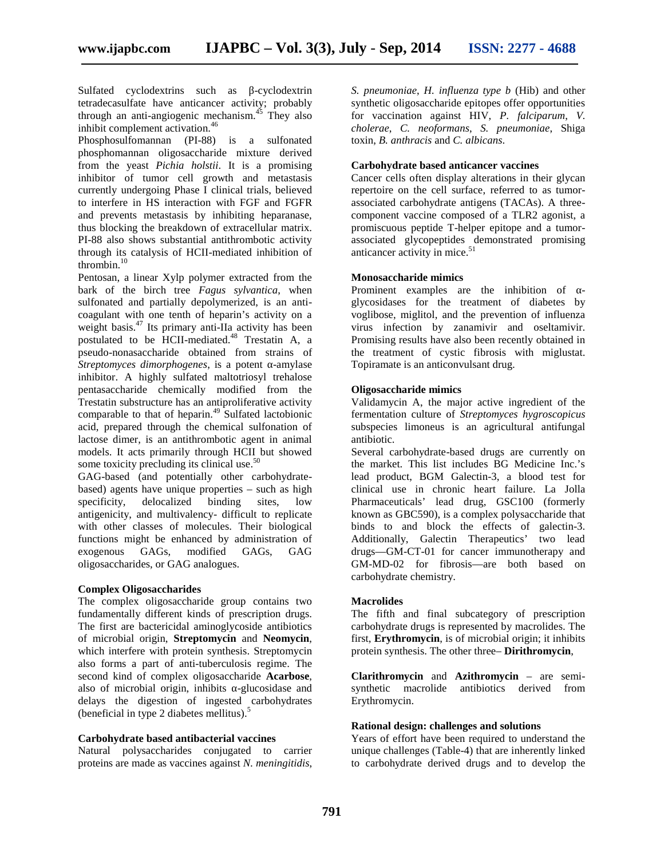Sulfated cyclodextrins such as -cyclodextrin tetradecasulfate have anticancer activity; probably through an anti-angiogenic mechanism.<sup>45</sup> They also inhibit complement activation.<sup>46</sup>

Phosphosulfomannan (PI-88) is a sulfonated phosphomannan oligosaccharide mixture derived from the yeast *Pichia holstii*. It is a promising inhibitor of tumor cell growth and metastasis currently undergoing Phase I clinical trials, believed to interfere in HS interaction with FGF and FGFR and prevents metastasis by inhibiting heparanase, thus blocking the breakdown of extracellular matrix. PI-88 also shows substantial antithrombotic activity through its catalysis of HCII-mediated inhibition of thrombin.<sup>10</sup>

Pentosan, a linear Xylp polymer extracted from the bark of the birch tree *Fagus sylvantica*, when sulfonated and partially depolymerized, is an anti coagulant with one tenth of heparin's activity on a weight basis.<sup>47</sup> Its primary anti-IIa activity has been postulated to be HCII-mediated.<sup>48</sup> Trestatin A, a pseudo-nonasaccharide obtained from strains of *Streptomyces dimorphogenes*, is a potent -amylase inhibitor. A highly sulfated maltotriosyl trehalose pentasaccharide chemically modified from the Trestatin substructure has an antiproliferative activity comparable to that of heparin.<sup>49</sup> Sulfated lactobionic acid, prepared through the chemical sulfonation of lactose dimer, is an antithrombotic agent in animal models. It acts primarily through HCII but showed some toxicity precluding its clinical use.<sup>50</sup>

GAG-based (and potentially other carbohydrate based) agents have unique properties – such as high specificity, delocalized binding sites, low antigenicity, and multivalency- difficult to replicate with other classes of molecules. Their biological functions might be enhanced by administration of exogenous GAGs, modified GAGs, GAG oligosaccharides, or GAG analogues.

#### **Complex Oligosaccharides**

The complex oligosaccharide group contains two fundamentally different kinds of prescription drugs. The first are bactericidal aminoglycoside antibiotics of microbial origin, **Streptomycin** and **Neomycin**, which interfere with protein synthesis. Streptomycin also forms a part of anti-tuberculosis regime. The second kind of complex oligosaccharide **Acarbose**, also of microbial origin, inhibits -glucosidase and delays the digestion of ingested carbohydrates (beneficial in type 2 diabetes mellitus).<sup>5</sup>

#### **Carbohydrate based antibacterial vaccines**

Natural polysaccharides conjugated to carrier proteins are made as vaccines against *N. meningitidis*,

*S. pneumoniae*, *H. influenza type b* (Hib) and other synthetic oligosaccharide epitopes offer opportunities for vaccination against HIV, *P. falciparum*, *V. cholerae*, *C. neoformans*, *S. pneumoniae*, Shiga toxin, *B. anthracis* and *C. albicans*.

#### **Carbohydrate based anticancer vaccines**

Cancer cells often display alterations in their glycan repertoire on the cell surface, referred to as tumor associated carbohydrate antigens (TACAs). A three component vaccine composed of a TLR2 agonist, a promiscuous peptide T-helper epitope and a tumor associated glycopeptides demonstrated promising anticancer activity in mice. $51$ 

#### **Monosaccharide mimics**

Prominent examples are the inhibition of glycosidases for the treatment of diabetes by voglibose, miglitol, and the prevention of influenza virus infection by zanamivir and oseltamivir. Promising results have also been recently obtained in the treatment of cystic fibrosis with miglustat. Topiramate is an anticonvulsant drug.

#### **Oligosaccharide mimics**

Validamycin A, the major active ingredient of the fermentation culture of *Streptomyces hygroscopicus* subspecies limoneus is an agricultural antifungal antibiotic.

Several carbohydrate-based drugs are currently on the market. This list includes BG Medicine Inc.'s lead product, BGM Galectin-3, a blood test for clinical use in chronic heart failure. La Jolla Pharmaceuticals' lead drug, GSC100 (formerly known as GBC590), is a complex polysaccharide that binds to and block the effects of galectin-3. Additionally, Galectin Therapeutics' two lead drugs—GM-CT-01 for cancer immunotherapy and GM-MD-02 for fibrosis—are both based on carbohydrate chemistry.

#### **Macrolides**

The fifth and final subcategory of prescription carbohydrate drugs is represented by macrolides. The first, **Erythromycin**, is of microbial origin; it inhibits protein synthesis. The other three– **Dirithromycin**,

**Clarithromycin** and **Azithromycin** – are semi synthetic macrolide antibiotics derived from Erythromycin.

#### **Rational design: challenges and solutions**

Years of effort have been required to understand the unique challenges (Table-4) that are inherently linked to carbohydrate derived drugs and to develop the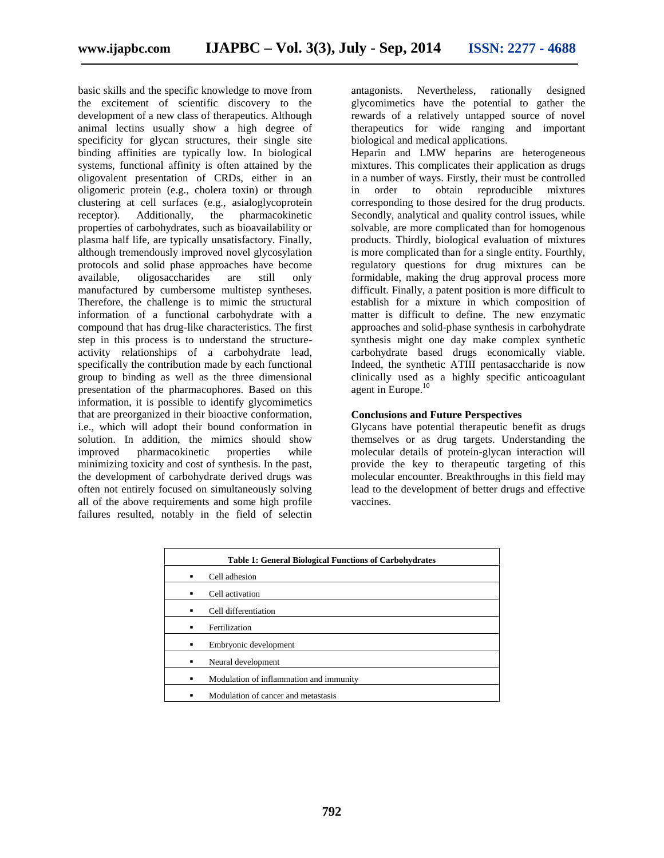basic skills and the specific knowledge to move from the excitement of scientific discovery to the development of a new class of therapeutics. Although animal lectins usually show a high degree of specificity for glycan structures, their single site binding affinities are typically low. In biological systems, functional affinity is often attained by the oligovalent presentation of CRDs, either in an oligomeric protein (e.g., cholera toxin) or through clustering at cell surfaces (e.g., asialoglycoprotein receptor). Additionally, the pharmacokinetic properties of carbohydrates, such as bioavailability or plasma half life, are typically unsatisfactory. Finally, although tremendously improved novel glycosylation protocols and solid phase approaches have become available, oligosaccharides are still only manufactured by cumbersome multistep syntheses. Therefore, the challenge is to mimic the structural information of a functional carbohydrate with a compound that has drug-like characteristics. The first step in this process is to understand the structure activity relationships of a carbohydrate lead, specifically the contribution made by each functional group to binding as well as the three dimensional presentation of the pharmacophores. Based on this information, it is possible to identify glycomimetics that are preorganized in their bioactive conformation, i.e., which will adopt their bound conformation in solution. In addition, the mimics should show improved pharmacokinetic properties while minimizing toxicity and cost of synthesis. In the past, the development of carbohydrate derived drugs was often not entirely focused on simultaneously solving all of the above requirements and some high profile failures resulted, notably in the field of selectin

Nevertheless, rationally designed glycomimetics have the potential to gather the rewards of a relatively untapped source of novel therapeutics for wide ranging and important biological and medical applications.

Heparin and LMW heparins are heterogeneous mixtures. This complicates their application as drugs in a number of ways. Firstly, their must be controlled<br>in order to obtain reproducible mixtures to obtain reproducible mixtures corresponding to those desired for the drug products. Secondly, analytical and quality control issues, while solvable, are more complicated than for homogenous products. Thirdly, biological evaluation of mixtures is more complicated than for a single entity. Fourthly, regulatory questions for drug mixtures can be formidable, making the drug approval process more difficult. Finally, a patent position is more difficult to establish for a mixture in which composition of matter is difficult to define. The new enzymatic approaches and solid-phase synthesis in carbohydrate synthesis might one day make complex synthetic carbohydrate based drugs economically viable. Indeed, the synthetic ATIII pentasaccharide is now clinically used as a highly specific anticoagulant agent in Europe.<sup>10</sup>

#### **Conclusions and Future Perspectives**

Glycans have potential therapeutic benefit as drugs themselves or as drug targets. Understanding the molecular details of protein-glycan interaction will provide the key to therapeutic targeting of this molecular encounter. Breakthroughs in this field may lead to the development of better drugs and effective vaccines.

| <b>Table 1: General Biological Functions of Carbohydrates</b> |                                         |  |
|---------------------------------------------------------------|-----------------------------------------|--|
| $\blacksquare$                                                | Cell adhesion                           |  |
| $\blacksquare$                                                | Cell activation                         |  |
| $\blacksquare$                                                | Cell differentiation                    |  |
| $\blacksquare$                                                | Fertilization                           |  |
| $\blacksquare$                                                | Embryonic development                   |  |
| $\blacksquare$                                                | Neural development                      |  |
| $\blacksquare$                                                | Modulation of inflammation and immunity |  |
| $\blacksquare$                                                | Modulation of cancer and metastasis     |  |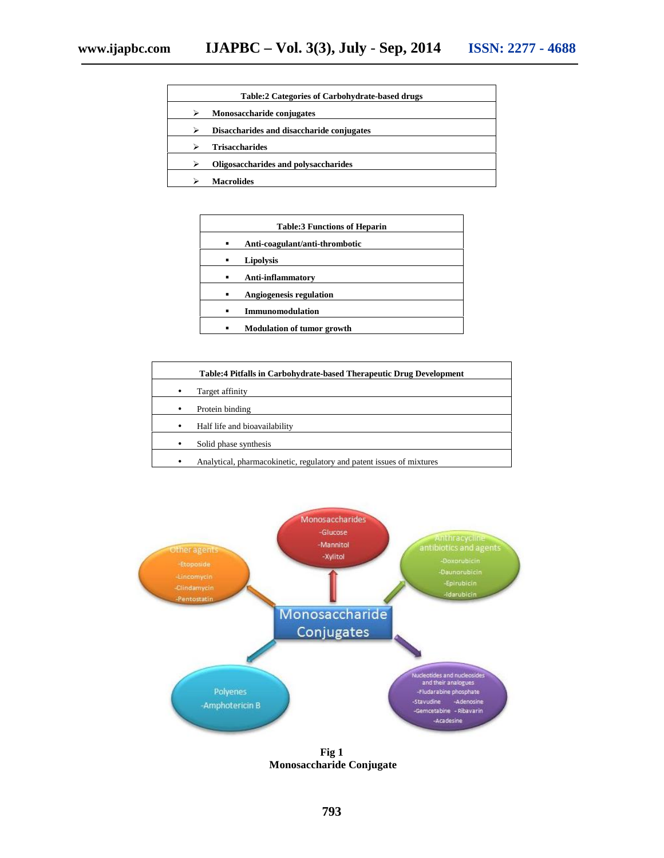| <b>Table:2 Categories of Carbohydrate-based drugs</b> |                                           |  |
|-------------------------------------------------------|-------------------------------------------|--|
| ⋗                                                     | Monosaccharide conjugates                 |  |
| ⋗                                                     | Disaccharides and disaccharide conjugates |  |
|                                                       | <b>Trisaccharides</b>                     |  |
|                                                       | Oligosaccharides and polysaccharides      |  |
|                                                       | Macrolides                                |  |

| <b>Table:3 Functions of Heparin</b> |                                   |  |
|-------------------------------------|-----------------------------------|--|
|                                     | Anti-coagulant/anti-thrombotic    |  |
| $\blacksquare$                      | <b>Lipolysis</b>                  |  |
|                                     | Anti-inflammatory                 |  |
|                                     | <b>Angiogenesis regulation</b>    |  |
|                                     | <b>Immunomodulation</b>           |  |
|                                     | <b>Modulation of tumor growth</b> |  |

| <b>Table:4 Pitfalls in Carbohydrate-based Therapeutic Drug Development</b> |
|----------------------------------------------------------------------------|
| Target affinity                                                            |
| Protein binding                                                            |
| Half life and bioavailability                                              |
| Solid phase synthesis                                                      |
| Analytical, pharmacokinetic, regulatory and patent issues of mixtures      |
|                                                                            |



**Fig 1 Monosaccharide Conjugate**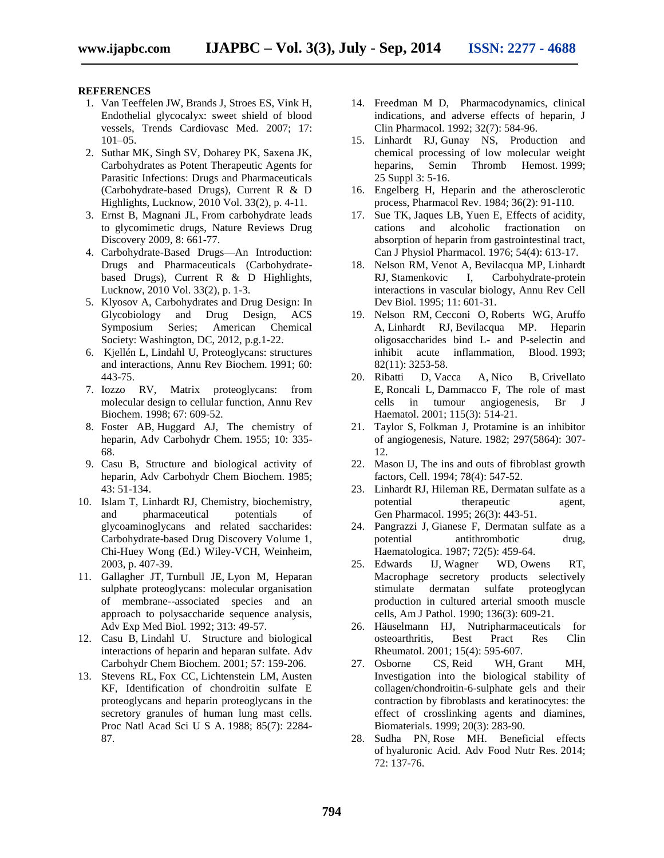#### **REFERENCES**

- 1. Van Teeffelen JW, Brands J, Stroes ES, Vink H, Endothelial glycocalyx: sweet shield of blood vessels, Trends Cardiovasc Med. 2007; 17:  $101-05$ .
- 2. Suthar MK, Singh SV, Doharey PK, Saxena JK, Carbohydrates as Potent Therapeutic Agents for Parasitic Infections: Drugs and Pharmaceuticals (Carbohydrate-based Drugs), Current R & D Highlights, Lucknow, 2010 Vol. 33(2), p. 4-11.
- 3. Ernst B, Magnani JL, From carbohydrate leads to glycomimetic drugs, Nature Reviews Drug Discovery 2009, 8: 661-77.
- 4. Carbohydrate-Based Drugs—An Introduction: Drugs and Pharmaceuticals (Carbohydrate based Drugs), Current R & D Highlights, Lucknow, 2010 Vol. 33(2), p. 1-3.
- 5. Klyosov A, Carbohydrates and Drug Design: In Glycobiology and Drug Design, ACS Symposium Series; American Chemical Society: Washington, DC, 2012, p.g.1-22.
- 6. Kjellén L, Lindahl U, Proteoglycans: structures and interactions, Annu Rev Biochem. 1991; 60: 443-75.
- 7. Iozzo RV, Matrix proteoglycans: from molecular design to cellular function, Annu Rev Biochem. 1998; 67: 609-52.
- 8. Foster AB, Huggard AJ, The chemistry of heparin, Adv Carbohydr Chem. 1955; 10: 335- 68.
- 9. Casu B, Structure and biological activity of heparin, Adv Carbohydr Chem Biochem. 1985; 43: 51-134.
- 10. Islam T, Linhardt RJ, Chemistry, biochemistry, and pharmaceutical potentials of glycoaminoglycans and related saccharides: Carbohydrate-based Drug Discovery Volume 1, Chi-Huey Wong (Ed.) Wiley-VCH, Weinheim, 2003, p. 407-39.
- 11. Gallagher JT, Turnbull JE, Lyon M, Heparan sulphate proteoglycans: molecular organisation of membrane--associated species and an approach to polysaccharide sequence analysis, Adv Exp Med Biol. 1992; 313: 49-57.
- 12. Casu B, Lindahl U. Structure and biological interactions of heparin and heparan sulfate. Adv Carbohydr Chem Biochem. 2001; 57: 159-206.
- 13. Stevens RL, Fox CC, Lichtenstein LM, Austen KF, Identification of chondroitin sulfate E proteoglycans and heparin proteoglycans in the secretory granules of human lung mast cells. Proc Natl Acad Sci U S A. 1988; 85(7): 2284- 87.
- 14. Freedman M D, Pharmacodynamics, clinical indications, and adverse effects of heparin, J Clin Pharmacol. 1992; 32(7): 584-96.
- 15. Linhardt RJ, Gunay NS, Production and chemical processing of low molecular weight heparins, Semin Thromb Hemost. 1999; 25 Suppl 3: 5-16.
- 16. Engelberg H, Heparin and the atherosclerotic process, Pharmacol Rev. 1984; 36(2): 91-110.
- 17. Sue TK, Jaques LB, Yuen E, Effects of acidity, cations and alcoholic fractionation on absorption of heparin from gastrointestinal tract, Can J Physiol Pharmacol. 1976; 54(4): 613-17.
- 18. Nelson RM, Venot A, Bevilacqua MP, Linhardt RJ, Stamenkovic I, Carbohydrate-protein interactions in vascular biology, Annu Rev Cell Dev Biol. 1995; 11: 601-31.
- 19. Nelson RM, Cecconi O, Roberts WG, Aruffo A, Linhardt RJ, Bevilacqua MP. Heparin oligosaccharides bind L- and P-selectin and inhibit acute inflammation, Blood. 1993; 82(11): 3253-58.
- 20. Ribatti D, Vacca A, Nico B, Crivellato E, Roncali L, Dammacco F, The role of mast cells in tumour angiogenesis, Br J Haematol. 2001; 115(3): 514-21.
- 21. Taylor S, Folkman J, Protamine is an inhibitor of angiogenesis, Nature. 1982; 297(5864): 307- 12.
- 22. Mason IJ, The ins and outs of fibroblast growth factors, Cell. 1994; 78(4): 547-52.
- 23. Linhardt RJ, Hileman RE, Dermatan sulfate as a potential therapeutic agent, Gen Pharmacol. 1995; 26(3): 443-51.
- 24. Pangrazzi J, Gianese F, Dermatan sulfate as a potential antithrombotic drug, Haematologica. 1987; 72(5): 459-64.
- 25. Edwards IJ, Wagner WD, Owens RT, Macrophage secretory products selectively stimulate dermatan sulfate proteoglycan production in cultured arterial smooth muscle cells, Am J Pathol. 1990; 136(3): 609-21.
- 26. Häuselmann HJ, Nutripharmaceuticals for osteoarthritis, Best Pract Res Clin Rheumatol. 2001; 15(4): 595-607.
- 27. Osborne CS, Reid WH, Grant MH, Investigation into the biological stability of collagen/chondroitin-6-sulphate gels and their contraction by fibroblasts and keratinocytes: the effect of crosslinking agents and diamines, Biomaterials. 1999; 20(3): 283-90.
- 28. Sudha PN, Rose MH. Beneficial effects of hyaluronic Acid. Adv Food Nutr Res. 2014; 72: 137-76.